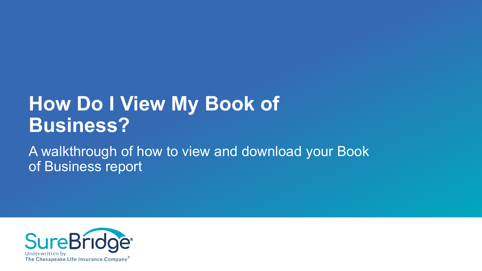# **How Do I View My Book of Business?**

A walkthrough of how to view and download your Book of Business report

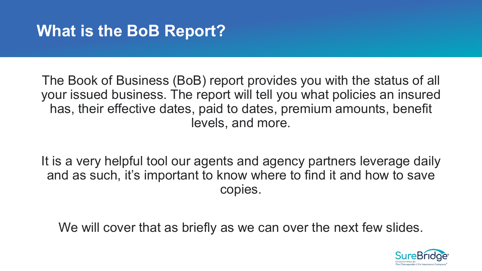# **What is the BoB Report?**

The Book of Business (BoB) report provides you with the status of all your issued business. The report will tell you what policies an insured has, their effective dates, paid to dates, premium amounts, benefit levels, and more.

It is a very helpful tool our agents and agency partners leverage daily and as such, it's important to know where to find it and how to save copies.

We will cover that as briefly as we can over the next few slides.

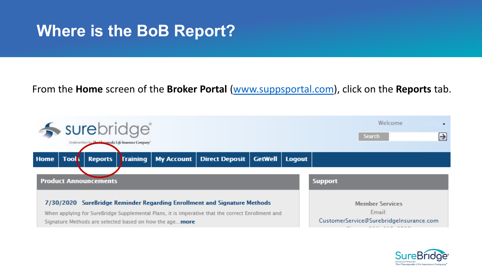### **Where is the BoB Report?**

#### From the **Home** screen of the **Broker Portal** ([www.suppsportal.com\)](http://www.suppsportal.com/), click on the **Reports** tab.



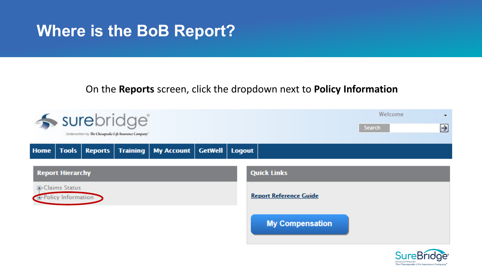### **Where is the BoB Report?**

#### On the **Reports** screen, click the dropdown next to **Policy Information**



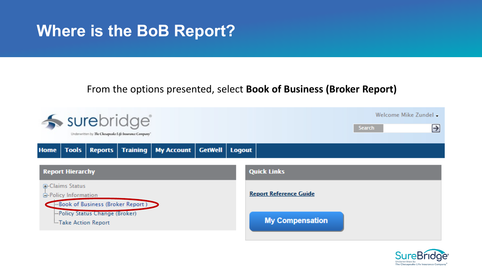### **Where is the BoB Report?**

#### From the options presented, select **Book of Business (Broker Report)**



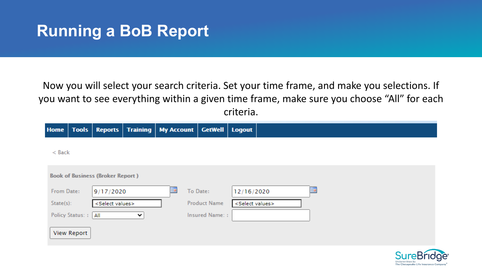# **Running a BoB Report**

Now you will select your search criteria. Set your time frame, and make you selections. If you want to see everything within a given time frame, make sure you choose "All" for each criteria.

| <b>Home</b> | <b>Tools</b>                            | <b>Reports</b>              |              | Training   My Account   GetWell |                       | Logout                      |  |  |  |  |  |
|-------------|-----------------------------------------|-----------------------------|--------------|---------------------------------|-----------------------|-----------------------------|--|--|--|--|--|
| $<$ Back    |                                         |                             |              |                                 |                       |                             |  |  |  |  |  |
|             |                                         |                             |              |                                 |                       |                             |  |  |  |  |  |
|             | <b>Book of Business (Broker Report)</b> |                             |              |                                 |                       |                             |  |  |  |  |  |
| From Date:  |                                         | 9/17/2020                   |              | HH                              | To Date:              | Þ<br>12/16/2020             |  |  |  |  |  |
| State(s):   |                                         | <select values=""></select> |              |                                 | <b>Product Name</b>   | <select values=""></select> |  |  |  |  |  |
|             | Policy Status: :   All                  |                             | $\checkmark$ |                                 | <b>Insured Name::</b> |                             |  |  |  |  |  |
|             | <b>View Report</b>                      |                             |              |                                 |                       |                             |  |  |  |  |  |

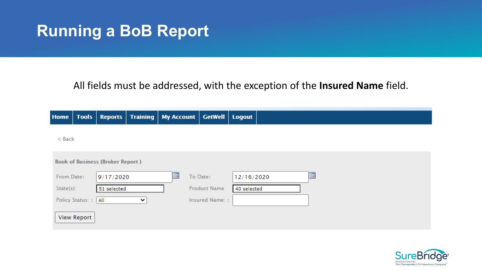### **Running a BoB Report**

#### All fields must be addressed, with the exception of the **Insured Name** field.

| <b>Home</b>  | <b>Tools</b>                            | <b>Reports</b> |   |   | Training   My Account   GetWell   Logout |                 |  |  |  |  |  |
|--------------|-----------------------------------------|----------------|---|---|------------------------------------------|-----------------|--|--|--|--|--|
| $<$ Back     |                                         |                |   |   |                                          |                 |  |  |  |  |  |
|              |                                         |                |   |   |                                          |                 |  |  |  |  |  |
|              | <b>Book of Business (Broker Report)</b> |                |   |   |                                          |                 |  |  |  |  |  |
| From Date:   |                                         | 9/17/2020      |   | m | To Date:                                 | H<br>12/16/2020 |  |  |  |  |  |
| $State(s)$ : |                                         | 51 selected    |   |   | <b>Product Name</b>                      | 40 selected     |  |  |  |  |  |
|              | <b>Policy Status::</b>                  | $ $ All        | ╰ |   | <b>Insured Name::</b>                    |                 |  |  |  |  |  |
|              | <b>View Report</b>                      |                |   |   |                                          |                 |  |  |  |  |  |

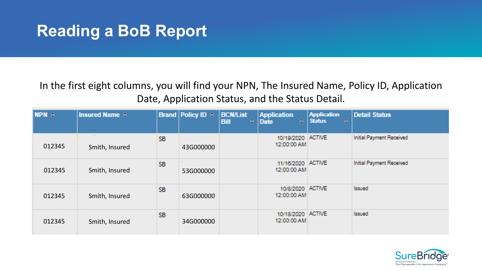# **Reading a BoB Report**

In the first eight columns, you will find your NPN, The Insured Name, Policy ID, Application Date, Application Status, and the Status Detail.

| <b>NPN e</b> | <b>Insured Name <math>\theta</math></b> |                 | <b>Brand   Policy ID <math>\approx</math></b> | <b>BCN/List</b><br>e<br><b>Bill</b> | <b>Application</b><br>€.<br><b>Date</b> | <b>Application</b><br><b>Status</b><br>e | <b>Detail Status</b>     |
|--------------|-----------------------------------------|-----------------|-----------------------------------------------|-------------------------------------|-----------------------------------------|------------------------------------------|--------------------------|
| 012345       | $\sim 100$<br>Smith, Insured            | SB.             | 43G000000                                     |                                     | 10/19/2020<br>12:00:00 AM               | <b>ACTIVE</b>                            | Initial Payment Received |
| 012345       | Smith, Insured                          | SB.             | 53G000000                                     |                                     | 11/16/2020<br>12:00:00 AM               | <b>ACTIVE</b>                            | Initial Payment Received |
| 012345       | Smith, Insured                          | SB <sub>1</sub> | 63G000000                                     | <b>Contract</b>                     | 10/8/2020<br>12:00:00 AM                | <b>ACTIVE</b>                            | <b>Issued</b>            |
| 012345       | Smith, Insured                          | SB <sub>1</sub> | 34G000000                                     |                                     | 10/18/2020<br>12:00:00 AM               | <b>ACTIVE</b>                            | <b>Issued</b>            |

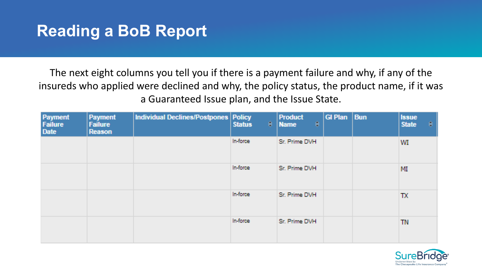# **Reading a BoB Report**

The next eight columns you tell you if there is a payment failure and why, if any of the insureds who applied were declined and why, the policy status, the product name, if it was a Guaranteed Issue plan, and the Issue State.

| Payment<br>Failure<br>Date | <b>Payment</b><br><b>Failure</b><br>Reason | Individual Declines/Postpones   Policy | €.<br><b>Status</b> | <b>Product</b><br>€<br><b>Name</b> | <b>GI Plan</b> | <b>Bun</b> | <b>Issue</b><br>÷<br><b>State</b> |
|----------------------------|--------------------------------------------|----------------------------------------|---------------------|------------------------------------|----------------|------------|-----------------------------------|
|                            |                                            |                                        | In force            | Sr. Prime DVH                      |                |            | WI.                               |
|                            |                                            |                                        | In force            | Sr. Prime DVH                      |                |            | MI                                |
|                            |                                            |                                        | In force            | Sr. Prime DVH                      |                |            | TX                                |
|                            |                                            |                                        | In force.           | Sr. Prime DVH                      |                |            | <b>TN</b>                         |

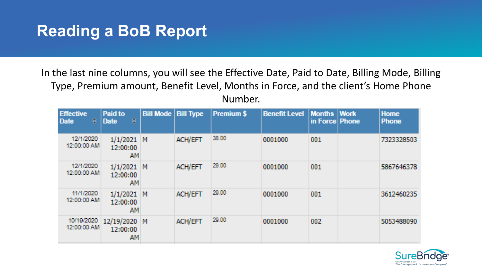# **Reading a BoB Report**

In the last nine columns, you will see the Effective Date, Paid to Date, Billing Mode, Billing Type, Premium amount, Benefit Level, Months in Force, and the client's Home Phone Number.

| <b>Effective</b><br>e<br>Date | Paid to<br>e<br><b>Date</b>       | <b>Bill Mode</b> | <b>Bill Type</b> | <b>Premium \$</b> | <b>Benefit Level</b> | <b>Months Work</b><br>in Force Phone | <b>Home</b><br><b>Phone</b> |
|-------------------------------|-----------------------------------|------------------|------------------|-------------------|----------------------|--------------------------------------|-----------------------------|
| 12/1/2020<br>12:00:00 AM      | 1/1/2021<br>12:00:00<br>AМ        | M                | ACH/EFT          | 38.00             | 0001000              | 001                                  | 7323328503                  |
| 12/1/2020<br>12:00:00 AM      | 1/1/2021<br>12:00:00<br><b>AM</b> | M                | <b>ACH/EFT</b>   | 29.00             | 0001000              | 001                                  | 5867646378                  |
| 11/1/2020<br>12:00:00 AM      | 1/1/2021<br>12:00:00<br>AМ        | М                | ACH/EFT          | 20.00             | 0001000              | 001                                  | 3612460235                  |
| 10/19/2020<br>12:00:00 AM     | 12/19/2020<br>12:00:00<br>AМ      | M                | <b>ACH/EFT</b>   | 29.00             | 0001000              | 002                                  | 5053488090                  |